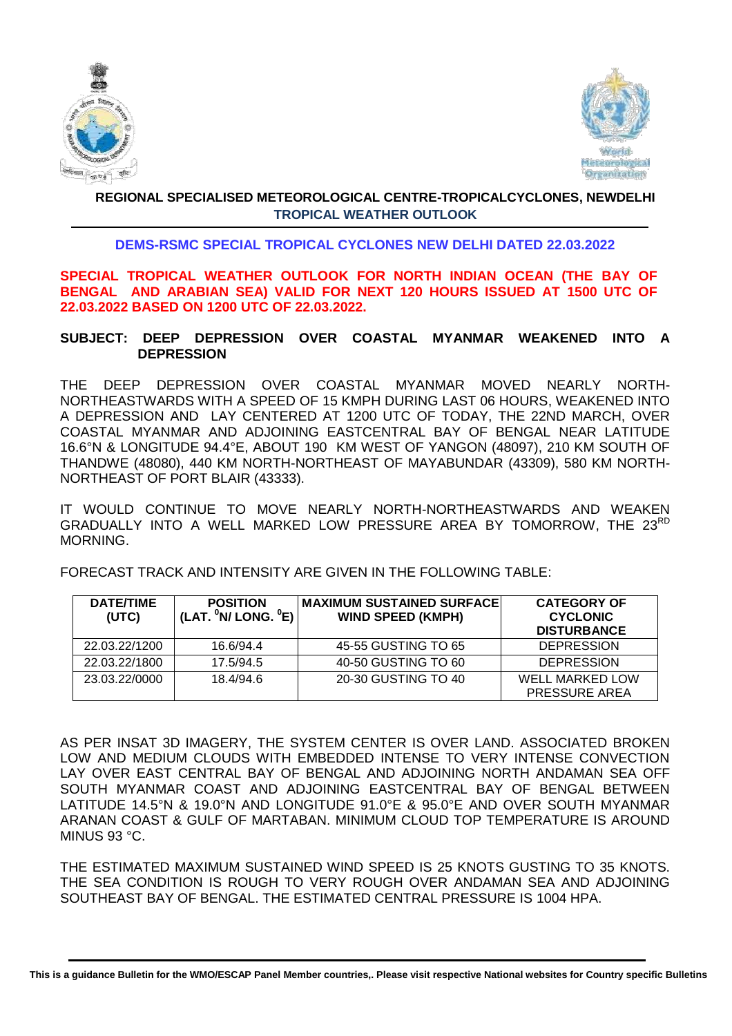



### **REGIONAL SPECIALISED METEOROLOGICAL CENTRE-TROPICALCYCLONES, NEWDELHI TROPICAL WEATHER OUTLOOK**

## **DEMS-RSMC SPECIAL TROPICAL CYCLONES NEW DELHI DATED 22.03.2022**

**SPECIAL TROPICAL WEATHER OUTLOOK FOR NORTH INDIAN OCEAN (THE BAY OF BENGAL AND ARABIAN SEA) VALID FOR NEXT 120 HOURS ISSUED AT 1500 UTC OF 22.03.2022 BASED ON 1200 UTC OF 22.03.2022.**

### **SUBJECT: DEEP DEPRESSION OVER COASTAL MYANMAR WEAKENED INTO A DEPRESSION**

THE DEEP DEPRESSION OVER COASTAL MYANMAR MOVED NEARLY NORTH-NORTHEASTWARDS WITH A SPEED OF 15 KMPH DURING LAST 06 HOURS, WEAKENED INTO A DEPRESSION AND LAY CENTERED AT 1200 UTC OF TODAY, THE 22ND MARCH, OVER COASTAL MYANMAR AND ADJOINING EASTCENTRAL BAY OF BENGAL NEAR LATITUDE 16.6°N & LONGITUDE 94.4°E, ABOUT 190 KM WEST OF YANGON (48097), 210 KM SOUTH OF THANDWE (48080), 440 KM NORTH-NORTHEAST OF MAYABUNDAR (43309), 580 KM NORTH-NORTHEAST OF PORT BLAIR (43333).

IT WOULD CONTINUE TO MOVE NEARLY NORTH-NORTHEASTWARDS AND WEAKEN GRADUALLY INTO A WELL MARKED LOW PRESSURE AREA BY TOMORROW, THE 23RD MORNING.

FORECAST TRACK AND INTENSITY ARE GIVEN IN THE FOLLOWING TABLE:

| <b>DATE/TIME</b><br>(UTC) | <b>POSITION</b><br>(LAT. $^0$ N/ LONG. $^0$ E) $\vert$ | <b>MAXIMUM SUSTAINED SURFACE</b><br><b>WIND SPEED (KMPH)</b> | <b>CATEGORY OF</b><br><b>CYCLONIC</b><br><b>DISTURBANCE</b> |
|---------------------------|--------------------------------------------------------|--------------------------------------------------------------|-------------------------------------------------------------|
| 22.03.22/1200             | 16.6/94.4                                              | 45-55 GUSTING TO 65                                          | <b>DEPRESSION</b>                                           |
| 22.03.22/1800             | 17.5/94.5                                              | 40-50 GUSTING TO 60                                          | <b>DEPRESSION</b>                                           |
| 23.03.22/0000             | 18.4/94.6                                              | 20-30 GUSTING TO 40                                          | <b>WELL MARKED LOW</b>                                      |
|                           |                                                        |                                                              | PRESSURE AREA                                               |

AS PER INSAT 3D IMAGERY, THE SYSTEM CENTER IS OVER LAND. ASSOCIATED BROKEN LOW AND MEDIUM CLOUDS WITH EMBEDDED INTENSE TO VERY INTENSE CONVECTION LAY OVER EAST CENTRAL BAY OF BENGAL AND ADJOINING NORTH ANDAMAN SEA OFF SOUTH MYANMAR COAST AND ADJOINING EASTCENTRAL BAY OF BENGAL BETWEEN LATITUDE 14.5°N & 19.0°N AND LONGITUDE 91.0°E & 95.0°E AND OVER SOUTH MYANMAR ARANAN COAST & GULF OF MARTABAN. MINIMUM CLOUD TOP TEMPERATURE IS AROUND MINUS 93 °C.

THE ESTIMATED MAXIMUM SUSTAINED WIND SPEED IS 25 KNOTS GUSTING TO 35 KNOTS. THE SEA CONDITION IS ROUGH TO VERY ROUGH OVER ANDAMAN SEA AND ADJOINING SOUTHEAST BAY OF BENGAL. THE ESTIMATED CENTRAL PRESSURE IS 1004 HPA.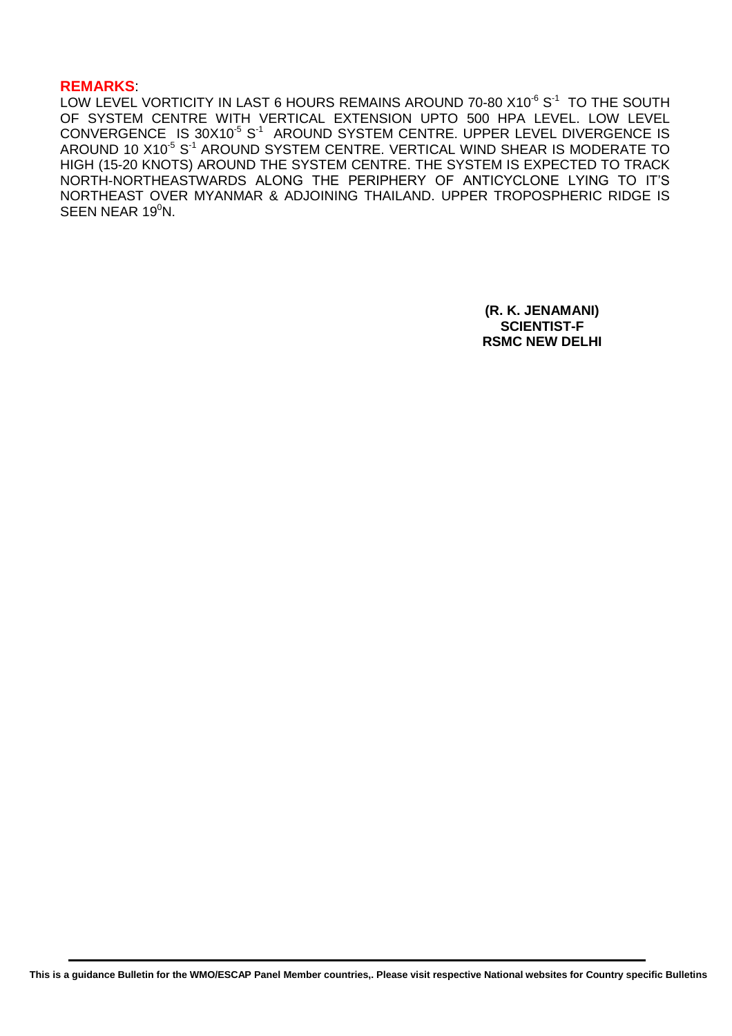#### **REMARKS**:

LOW LEVEL VORTICITY IN LAST 6 HOURS REMAINS AROUND 70-80 X10 $^6$  S $^1\,$  TO THE SOUTH OF SYSTEM CENTRE WITH VERTICAL EXTENSION UPTO 500 HPA LEVEL. LOW LEVEL CONVERGENCE IS 30X10<sup>-5</sup> S<sup>-1</sup> AROUND SYSTEM CENTRE. UPPER LEVEL DIVERGENCE IS AROUND 10 X10<sup>-5</sup> S<sup>-1</sup> AROUND SYSTEM CENTRE. VERTICAL WIND SHEAR IS MODERATE TO HIGH (15-20 KNOTS) AROUND THE SYSTEM CENTRE. THE SYSTEM IS EXPECTED TO TRACK NORTH-NORTHEASTWARDS ALONG THE PERIPHERY OF ANTICYCLONE LYING TO IT'S NORTHEAST OVER MYANMAR & ADJOINING THAILAND. UPPER TROPOSPHERIC RIDGE IS SEEN NEAR 19 $^0$ N.

> **(R. K. JENAMANI) SCIENTIST-F RSMC NEW DELHI**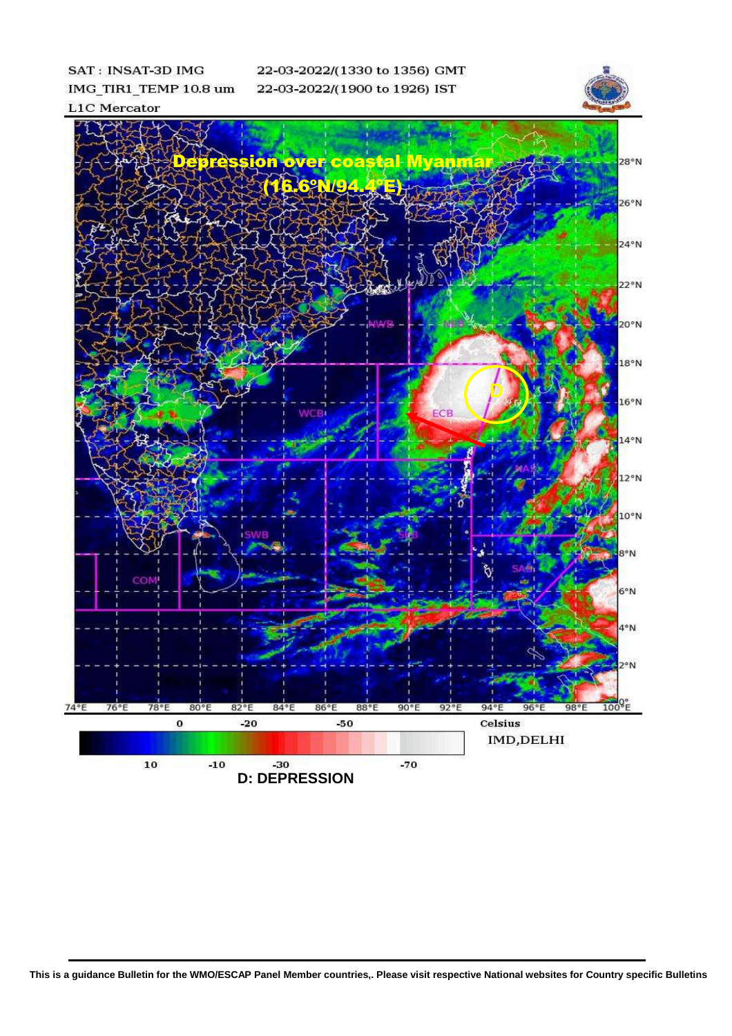**SAT: INSAT-3D IMG** IMG\_TIR1\_TEMP 10.8 um **L1C** Mercator

22-03-2022/(1330 to 1356) GMT 22-03-2022/(1900 to 1926) IST





**This is a guidance Bulletin for the WMO/ESCAP Panel Member countries,. Please visit respective National websites for Country specific Bulletins**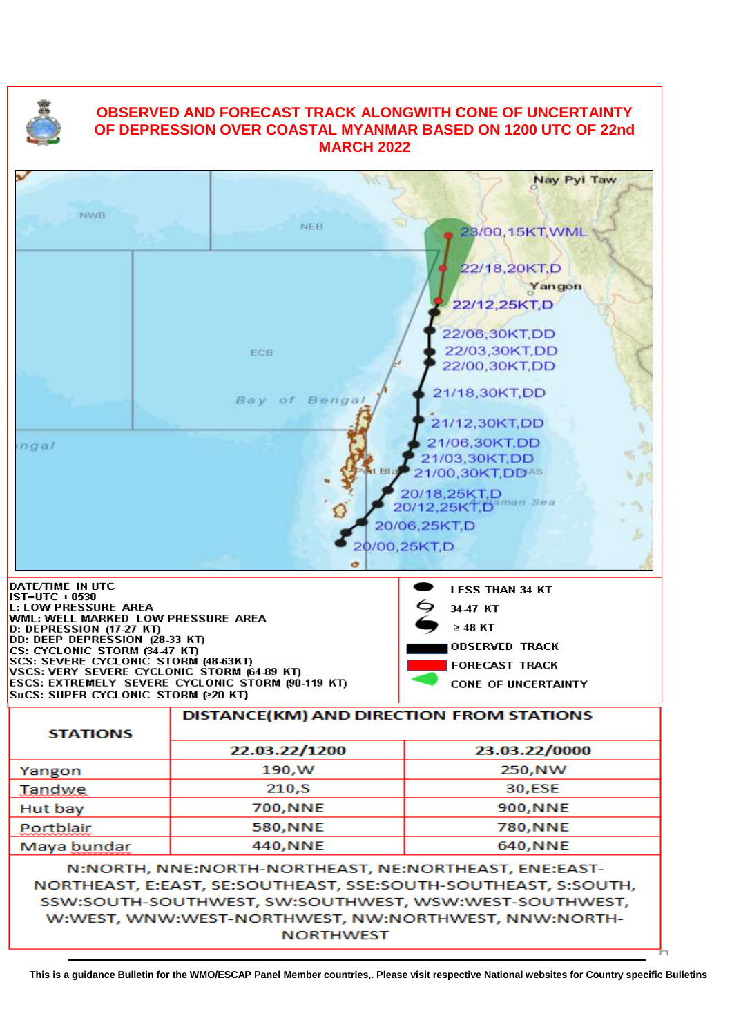

# **OBSERVED AND FORECAST TRACK ALONGWITH CONE OF UNCERTAINTY OF DEPRESSION OVER COASTAL MYANMAR BASED ON 1200 UTC OF 22nd MARCH 2022**



SSW:SOUTH-SOUTHWEST, SW:SOUTHWEST, WSW:WEST-SOUTHWEST, W:WEST, WNW:WEST-NORTHWEST, NW:NORTHWEST, NNW:NORTH-**NORTHWEST**